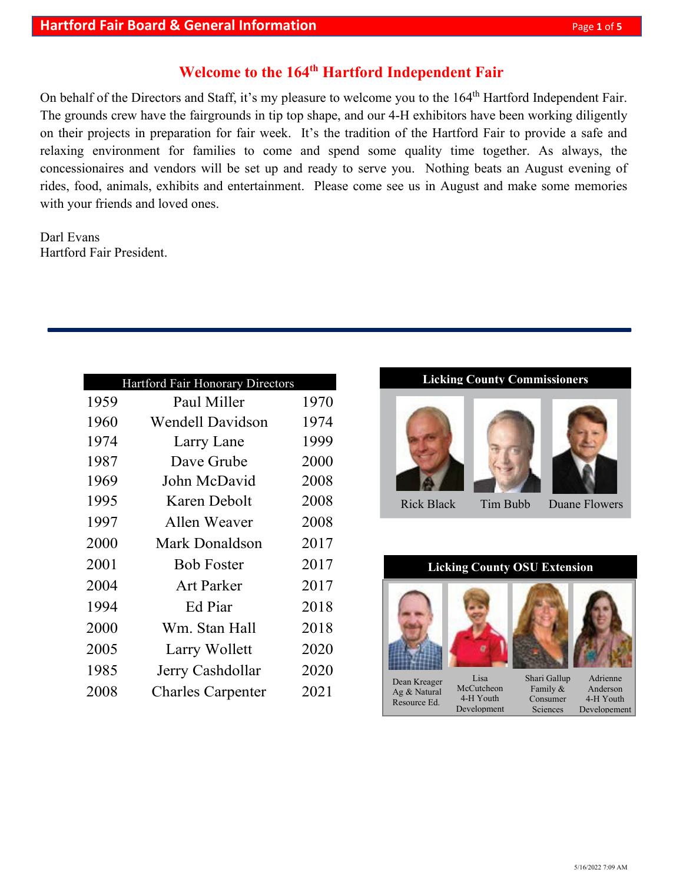## **Welcome to the 164th Hartford Independent Fair**

On behalf of the Directors and Staff, it's my pleasure to welcome you to the 164<sup>th</sup> Hartford Independent Fair. The grounds crew have the fairgrounds in tip top shape, and our 4-H exhibitors have been working diligently on their projects in preparation for fair week. It's the tradition of the Hartford Fair to provide a safe and relaxing environment for families to come and spend some quality time together. As always, the concessionaires and vendors will be set up and ready to serve you. Nothing beats an August evening of rides, food, animals, exhibits and entertainment. Please come see us in August and make some memories with your friends and loved ones.

Darl Evans Hartford Fair President.

|      | Hartford Fair Honorary Directors |      |
|------|----------------------------------|------|
| 1959 | Paul Miller                      | 1970 |
| 1960 | Wendell Davidson                 | 1974 |
| 1974 | Larry Lane                       | 1999 |
| 1987 | Dave Grube                       | 2000 |
| 1969 | John McDavid                     | 2008 |
| 1995 | Karen Debolt                     | 2008 |
| 1997 | Allen Weaver                     | 2008 |
| 2000 | Mark Donaldson                   | 2017 |
| 2001 | <b>Bob Foster</b>                | 2017 |
| 2004 | <b>Art Parker</b>                | 2017 |
| 1994 | Ed Piar                          | 2018 |
| 2000 | Wm. Stan Hall                    | 2018 |
| 2005 | Larry Wollett                    | 2020 |
| 1985 | Jerry Cashdollar                 | 2020 |
| 2008 | <b>Charles Carpenter</b>         | 2021 |
|      |                                  |      |

### **Licking County Commissioners**







Rick Black Tim Bubb Duane Flowers

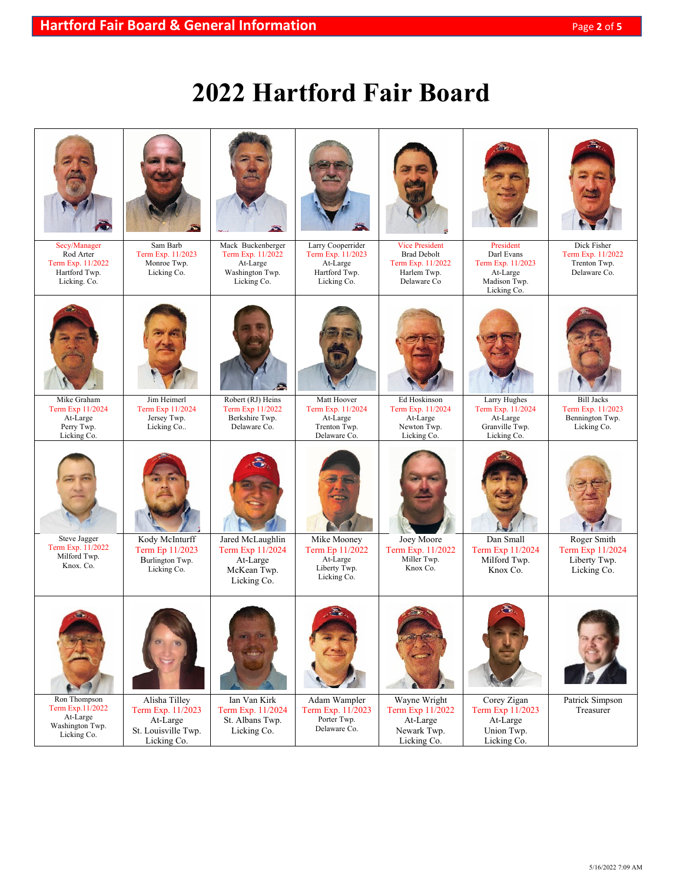# **2022 Hartford Fair Board**

| Secy/Manager<br>Rod Arter<br>Term Exp. 11/2022<br>Hartford Twp.<br>Licking. Co.             | Sam Barb<br>Term Exp. 11/2023<br>Monroe Twp.<br>Licking Co.                          | Mack Buckenberger<br>Term Exp. 11/2022<br>At-Large<br>Washington Twp.<br>Licking Co.           | Larry Cooperrider<br>Term Exp. 11/2023<br>At-Large<br>Hartford Twp.<br>Licking Co.                        | <b>Vice President</b><br><b>Brad Debolt</b><br>Term Exp. 11/2022<br>Harlem Twp.<br>Delaware Co | President<br>Darl Evans<br>Term Exp. 11/2023<br>At-Large<br>Madison Twp.                   | Dick Fisher<br>Term Exp. 11/2022<br>Trenton Twp.<br>Delaware Co.              |
|---------------------------------------------------------------------------------------------|--------------------------------------------------------------------------------------|------------------------------------------------------------------------------------------------|-----------------------------------------------------------------------------------------------------------|------------------------------------------------------------------------------------------------|--------------------------------------------------------------------------------------------|-------------------------------------------------------------------------------|
| Mike Graham<br>Term Exp 11/2024<br>At-Large                                                 | Jim Heimerl<br>Term Exp 11/2024<br>Jersey Twp.                                       | Robert (RJ) Heins<br>Term Exp 11/2022<br>Berkshire Twp.                                        | Matt Hoover<br>Term Exp. 11/2024<br>At-Large                                                              | Ed Hoskinson<br>Term Exp. 11/2024<br>At-Large                                                  | Licking Co.<br>Larry Hughes<br>Term Exp. 11/2024<br>At-Large                               | <b>Bill Jacks</b><br>Term Exp. 11/2023<br>Bennington Twp.                     |
| Perry Twp.<br>Licking Co.<br>Steve Jagger<br>Term Exp. 11/2022<br>Milford Twp.<br>Knox. Co. | Licking Co<br>Kody McInturff<br>Term Ep 11/2023<br>Burlington Twp.<br>Licking Co.    | Delaware Co.<br>Jared McLaughlin<br>Term Exp 11/2024<br>At-Large<br>McKean Twp.<br>Licking Co. | Trenton Twp.<br>Delaware Co.<br>Mike Mooney<br>Term Ep 11/2022<br>At-Large<br>Liberty Twp.<br>Licking Co. | Newton Twp.<br>Licking Co.<br>Joey Moore<br>Term Exp. 11/2022<br>Miller Twp.<br>Knox Co.       | Granville Twp.<br>Licking Co.<br>Dan Small<br>Term Exp 11/2024<br>Milford Twp.<br>Knox Co. | Licking Co.<br>Roger Smith<br>Term Exp 11/2024<br>Liberty Twp.<br>Licking Co. |
| Ron Thompson<br>Term Exp.11/2022<br>At-Large<br>Washington Twp.<br>Licking Co.              | Alisha Tilley<br>Term Exp. 11/2023<br>At-Large<br>St. Louisville Twp.<br>Licking Co. | Ian Van Kirk<br>Term Exp. 11/2024<br>St. Albans Twp.<br>Licking Co.                            | Adam Wampler<br>Term Exp. 11/2023<br>Porter Twp.<br>Delaware Co.                                          | Wayne Wright<br>Term Exp 11/2022<br>At-Large<br>Newark Twp.<br>Licking Co.                     | Corey Zigan<br>Term Exp 11/2023<br>At-Large<br>Union Twp.<br>Licking Co.                   | Patrick Simpson<br>Treasurer                                                  |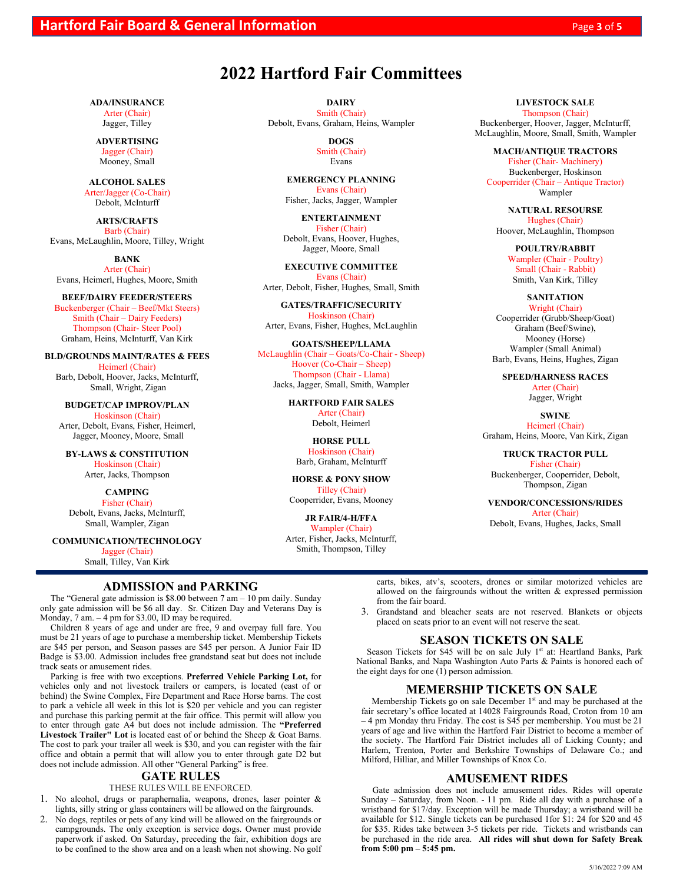# **2022 Hartford Fair Committees**

**ADA/INSURANCE**

Arter (Chair) Jagger, Tilley

**ADVERTISING** Jagger (Chair) Mooney, Small

**ALCOHOL SALES** Arter/Jagger (Co-Chair) Debolt, McInturff

**ARTS/CRAFTS** Barb (Chair) Evans, McLaughlin, Moore, Tilley, Wright

**BANK** Arter (Chair) Evans, Heimerl, Hughes, Moore, Smith

**BEEF/DAIRY FEEDER/STEERS**

Buckenberger (Chair – Beef/Mkt Steers) Smith (Chair – Dairy Feeders) Thompson (Chair- Steer Pool) Graham, Heins, McInturff, Van Kirk

**BLD/GROUNDS MAINT/RATES & FEES** Heimerl (Chair)

Barb, Debolt, Hoover, Jacks, McInturff, Small, Wright, Zigan

**BUDGET/CAP IMPROV/PLAN** Hoskinson (Chair) Arter, Debolt, Evans, Fisher, Heimerl, Jagger, Mooney, Moore, Small

**BY-LAWS & CONSTITUTION** Hoskinson (Chair)

Arter, Jacks, Thompson

**CAMPING** Fisher (Chair) Debolt, Evans, Jacks, McInturff, Small, Wampler, Zigan

**COMMUNICATION/TECHNOLOGY**

Jagger (Chair)

Small, Tilley, Van Kirk

#### **ADMISSION and PARKING**

The "General gate admission is \$8.00 between 7 am – 10 pm daily. Sunday only gate admission will be \$6 all day. Sr. Citizen Day and Veterans Day is Monday, 7 am. – 4 pm for \$3.00, ID may be required.

Children 8 years of age and under are free, 9 and overpay full fare. You must be 21 years of age to purchase a membership ticket. Membership Tickets are \$45 per person, and Season passes are \$45 per person. A Junior Fair ID Badge is \$3.00. Admission includes free grandstand seat but does not include track seats or amusement rides.

Parking is free with two exceptions. **Preferred Vehicle Parking Lot,** for vehicles only and not livestock trailers or campers, is located (east of or behind) the Swine Complex, Fire Department and Race Horse barns. The cost to park a vehicle all week in this lot is \$20 per vehicle and you can register and purchase this parking permit at the fair office. This permit will allow you to enter through gate A4 but does not include admission. The **"Preferred Livestock Trailer" Lot** is located east of or behind the Sheep & Goat Barns. The cost to park your trailer all week is \$30, and you can register with the fair office and obtain a permit that will allow you to enter through gate D2 but does not include admission. All other "General Parking" is free.

#### **GATE RULES**

THESE RULES WILL BE ENFORCED.

1. No alcohol, drugs or paraphernalia, weapons, drones, laser pointer & lights, silly string or glass containers will be allowed on the fairgrounds.

2. No dogs, reptiles or pets of any kind will be allowed on the fairgrounds or campgrounds. The only exception is service dogs. Owner must provide paperwork if asked. On Saturday, preceding the fair, exhibition dogs are to be confined to the show area and on a leash when not showing. No golf

**DAIRY** Smith (Chair) Debolt, Evans, Graham, Heins, Wampler

> **DOGS** Smith (Chair) Evans

**EMERGENCY PLANNING** Evans (Chair) Fisher, Jacks, Jagger, Wampler

**ENTERTAINMENT** Fisher (Chair) Debolt, Evans, Hoover, Hughes, Jagger, Moore, Small

**EXECUTIVE COMMITTEE** Evans (Chair) Arter, Debolt, Fisher, Hughes, Small, Smith

**GATES/TRAFFIC/SECURITY** Hoskinson (Chair) Arter, Evans, Fisher, Hughes, McLaughlin

**GOATS/SHEEP/LLAMA** McLaughlin (Chair – Goats/Co-Chair - Sheep) Hoover (Co-Chair – Sheep) Thompson (Chair - Llama) Jacks, Jagger, Small, Smith, Wampler

> **HARTFORD FAIR SALES** Arter (Chair) Debolt, Heimerl

**HORSE PULL** Hoskinson (Chair) Barb, Graham, McInturff

**HORSE & PONY SHOW** Tilley (Chair) Cooperrider, Evans, Mooney

**JR FAIR/4-H/FFA** Wampler (Chair) Arter, Fisher, Jacks, McInturff, Smith, Thompson, Tilley

#### **LIVESTOCK SALE**

Thompson (Chair) Buckenberger, Hoover, Jagger, McInturff, McLaughlin, Moore, Small, Smith, Wampler

**MACH/ANTIQUE TRACTORS** Fisher (Chair- Machinery) Buckenberger, Hoskinson Cooperrider (Chair – Antique Tractor) Wampler

**NATURAL RESOURSE** Hughes (Chair) Hoover, McLaughlin, Thompson

> **POULTRY/RABBIT** Wampler (Chair - Poultry) Small (Chair - Rabbit) Smith, Van Kirk, Tilley

#### **SANITATION**

Wright (Chair) Cooperrider (Grubb/Sheep/Goat) Graham (Beef/Swine), Mooney (Horse) Wampler (Small Animal) Barb, Evans, Heins, Hughes, Zigan

**SPEED/HARNESS RACES** Arter (Chair) Jagger, Wright

**SWINE**

Heimerl (Chair) Graham, Heins, Moore, Van Kirk, Zigan

**TRUCK TRACTOR PULL** Fisher (Chair) Buckenberger, Cooperrider, Debolt, Thompson, Zigan

**VENDOR/CONCESSIONS/RIDES** Arter (Chair) Debolt, Evans, Hughes, Jacks, Small

carts, bikes, atv's, scooters, drones or similar motorized vehicles are allowed on the fairgrounds without the written & expressed permission from the fair board.

3. Grandstand and bleacher seats are not reserved. Blankets or objects placed on seats prior to an event will not reserve the seat.

#### **SEASON TICKETS ON SALE**

Season Tickets for \$45 will be on sale July 1<sup>st</sup> at: Heartland Banks, Park National Banks, and Napa Washington Auto Parts & Paints is honored each of the eight days for one (1) person admission.

#### **MEMERSHIP TICKETS ON SALE**

Membership Tickets go on sale December  $1<sup>st</sup>$  and may be purchased at the fair secretary's office located at 14028 Fairgrounds Road, Croton from 10 am – 4 pm Monday thru Friday. The cost is \$45 per membership. You must be 21 years of age and live within the Hartford Fair District to become a member of the society. The Hartford Fair District includes all of Licking County; and Harlem, Trenton, Porter and Berkshire Townships of Delaware Co.; and Milford, Hilliar, and Miller Townships of Knox Co.

#### **AMUSEMENT RIDES**

Gate admission does not include amusement rides. Rides will operate Sunday – Saturday, from Noon. - 11 pm. Ride all day with a purchase of a wristband for \$17/day. Exception will be made Thursday; a wristband will be available for \$12. Single tickets can be purchased 1for \$1: 24 for \$20 and 45 for \$35. Rides take between 3-5 tickets per ride. Tickets and wristbands can be purchased in the ride area. **All rides will shut down for Safety Break from 5:00 pm – 5:45 pm.**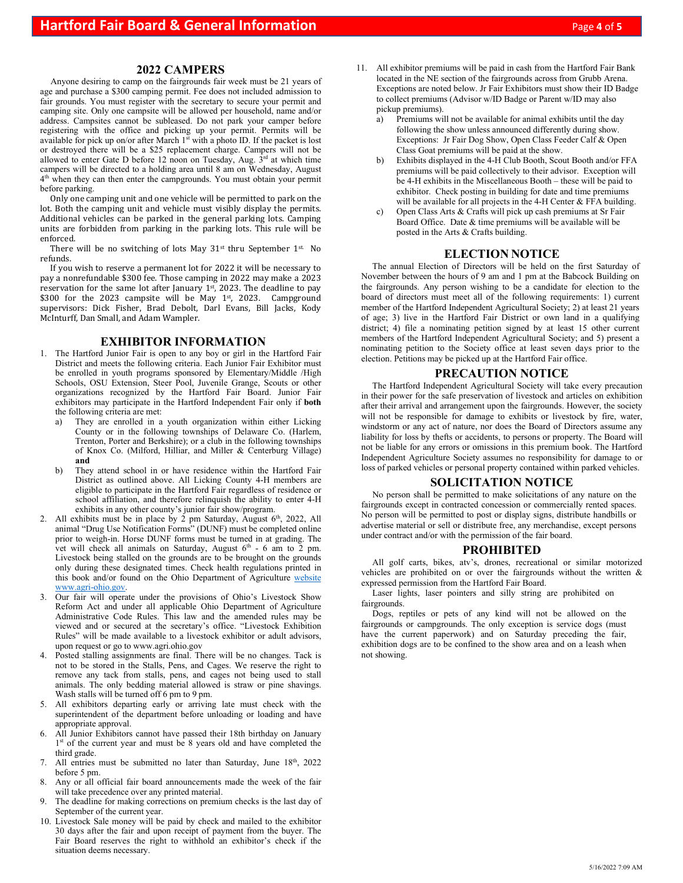#### **2022 CAMPERS**

Anyone desiring to camp on the fairgrounds fair week must be 21 years of age and purchase a \$300 camping permit. Fee does not included admission to fair grounds. You must register with the secretary to secure your permit and camping site. Only one campsite will be allowed per household, name and/or address. Campsites cannot be subleased. Do not park your camper before registering with the office and picking up your permit. Permits will be available for pick up on/or after March 1<sup>st</sup> with a photo ID. If the packet is lost or destroyed there will be a \$25 replacement charge. Campers will not be allowed to enter Gate D before 12 noon on Tuesday, Aug.  $3<sup>rd</sup>$  at which time campers will be directed to a holding area until 8 am on Wednesday, August 4<sup>th</sup> when they can then enter the campgrounds. You must obtain your permit before parking.

Only one camping unit and one vehicle will be permitted to park on the lot. Both the camping unit and vehicle must visibly display the permits. Additional vehicles can be parked in the general parking lots. Camping units are forbidden from parking in the parking lots. This rule will be enforced.

There will be no switching of lots May 31<sup>st</sup> thru September 1<sup>st.</sup> No refunds.

If you wish to reserve a permanent lot for 2022 it will be necessary to pay a nonrefundable \$300 fee. Those camping in 2022 may make a 2023 reservation for the same lot after January  $1<sup>st</sup>$ , 2023. The deadline to pay \$300 for the 2023 campsite will be May 1st, 2023. Campground supervisors: Dick Fisher, Brad Debolt, Darl Evans, Bill Jacks, Kody McInturff, Dan Small, and Adam Wampler.

#### **EXHIBITOR INFORMATION**

- 1. The Hartford Junior Fair is open to any boy or girl in the Hartford Fair District and meets the following criteria. Each Junior Fair Exhibitor must be enrolled in youth programs sponsored by Elementary/Middle /High Schools, OSU Extension, Steer Pool, Juvenile Grange, Scouts or other organizations recognized by the Hartford Fair Board. Junior Fair exhibitors may participate in the Hartford Independent Fair only if **both** the following criteria are met:
	- a) They are enrolled in a youth organization within either Licking County or in the following townships of Delaware Co. (Harlem, Trenton, Porter and Berkshire); or a club in the following townships of Knox Co. (Milford, Hilliar, and Miller & Centerburg Village) **and**
	- b) They attend school in or have residence within the Hartford Fair District as outlined above. All Licking County 4-H members are eligible to participate in the Hartford Fair regardless of residence or school affiliation, and therefore relinquish the ability to enter 4-H exhibits in any other county's junior fair show/program.
- 2. All exhibits must be in place by  $2$  pm Saturday, August  $6<sup>th</sup>$ , 2022, All animal "Drug Use Notification Forms" (DUNF) must be completed online prior to weigh-in. Horse DUNF forms must be turned in at grading. The vet will check all animals on Saturday, August  $6<sup>th</sup>$  - 6 am to 2 pm. Livestock being stalled on the grounds are to be brought on the grounds only during these designated times. Check health regulations printed in this book and/or found on the Ohio Department of Agriculture website www.agri-ohio.gov.
- 3. Our fair will operate under the provisions of Ohio's Livestock Show Reform Act and under all applicable Ohio Department of Agriculture Administrative Code Rules. This law and the amended rules may be viewed and or secured at the secretary's office. "Livestock Exhibition Rules" will be made available to a livestock exhibitor or adult advisors, upon request or go to [www.agri.ohio.gov](http://www.agri.ohio.gov/)
- 4. Posted stalling assignments are final. There will be no changes. Tack is not to be stored in the Stalls, Pens, and Cages. We reserve the right to remove any tack from stalls, pens, and cages not being used to stall animals. The only bedding material allowed is straw or pine shavings. Wash stalls will be turned off 6 pm to 9 pm.
- 5. All exhibitors departing early or arriving late must check with the superintendent of the department before unloading or loading and have appropriate approval.
- 6. All Junior Exhibitors cannot have passed their 18th birthday on January 1<sup>st</sup> of the current year and must be 8 years old and have completed the third grade.
- 7. All entries must be submitted no later than Saturday, June  $18<sup>th</sup>$ , 2022 before 5 pm.
- Any or all official fair board announcements made the week of the fair will take precedence over any printed material.
- 9. The deadline for making corrections on premium checks is the last day of September of the current year.
- 10. Livestock Sale money will be paid by check and mailed to the exhibitor 30 days after the fair and upon receipt of payment from the buyer. The Fair Board reserves the right to withhold an exhibitor's check if the situation deems necessary.
- 11. All exhibitor premiums will be paid in cash from the Hartford Fair Bank located in the NE section of the fairgrounds across from Grubb Arena. Exceptions are noted below. Jr Fair Exhibitors must show their ID Badge to collect premiums (Advisor w/ID Badge or Parent w/ID may also pickup premiums).
	- a) Premiums will not be available for animal exhibits until the day following the show unless announced differently during show. Exceptions: Jr Fair Dog Show, Open Class Feeder Calf & Open Class Goat premiums will be paid at the show.
	- b) Exhibits displayed in the 4-H Club Booth, Scout Booth and/or FFA premiums will be paid collectively to their advisor. Exception will be 4-H exhibits in the Miscellaneous Booth – these will be paid to exhibitor. Check posting in building for date and time premiums will be available for all projects in the 4-H Center & FFA building.
	- c) Open Class Arts & Crafts will pick up cash premiums at Sr Fair Board Office. Date & time premiums will be available will be posted in the Arts & Crafts building.

#### **ELECTION NOTICE**

The annual Election of Directors will be held on the first Saturday of November between the hours of 9 am and 1 pm at the Babcock Building on the fairgrounds. Any person wishing to be a candidate for election to the board of directors must meet all of the following requirements: 1) current member of the Hartford Independent Agricultural Society; 2) at least 21 years of age; 3) live in the Hartford Fair District or own land in a qualifying district; 4) file a nominating petition signed by at least 15 other current members of the Hartford Independent Agricultural Society; and 5) present a nominating petition to the Society office at least seven days prior to the election. Petitions may be picked up at the Hartford Fair office.

#### **PRECAUTION NOTICE**

The Hartford Independent Agricultural Society will take every precaution in their power for the safe preservation of livestock and articles on exhibition after their arrival and arrangement upon the fairgrounds. However, the society will not be responsible for damage to exhibits or livestock by fire, water, windstorm or any act of nature, nor does the Board of Directors assume any liability for loss by thefts or accidents, to persons or property. The Board will not be liable for any errors or omissions in this premium book. The Hartford Independent Agriculture Society assumes no responsibility for damage to or loss of parked vehicles or personal property contained within parked vehicles.

#### **SOLICITATION NOTICE**

No person shall be permitted to make solicitations of any nature on the fairgrounds except in contracted concession or commercially rented spaces. No person will be permitted to post or display signs, distribute handbills or advertise material or sell or distribute free, any merchandise, except persons under contract and/or with the permission of the fair board.

#### **PROHIBITED**

All golf carts, bikes, atv's, drones, recreational or similar motorized vehicles are prohibited on or over the fairgrounds without the written & expressed permission from the Hartford Fair Board.

Laser lights, laser pointers and silly string are prohibited on fairgrounds.

Dogs, reptiles or pets of any kind will not be allowed on the fairgrounds or campgrounds. The only exception is service dogs (must have the current paperwork) and on Saturday preceding the fair, exhibition dogs are to be confined to the show area and on a leash when not showing.